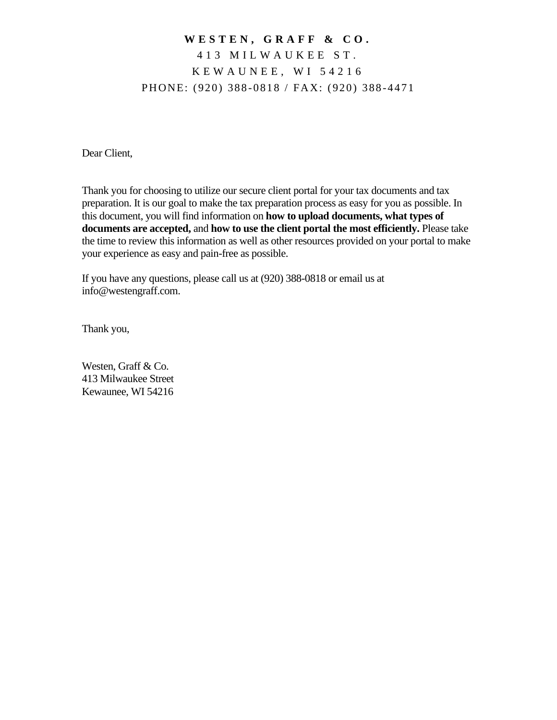### **W E S T E N , G R A F F & C O .** 4 1 3 M I L W A U K E E S T . K E W A U N E E , W I 5 4 2 1 6 PHONE: (920) 388-0818 / FAX: (920) 388-4471

Dear Client,

Thank you for choosing to utilize our secure client portal for your tax documents and tax preparation. It is our goal to make the tax preparation process as easy for you as possible. In this document, you will find information on **how to upload documents, what types of documents are accepted,** and **how to use the client portal the most efficiently.** Please take the time to review this information as well as other resources provided on your portal to make your experience as easy and pain-free as possible.

If you have any questions, please call us at (920) 388-0818 or email us at info@westengraff.com.

Thank you,

Westen, Graff & Co. 413 Milwaukee Street Kewaunee, WI 54216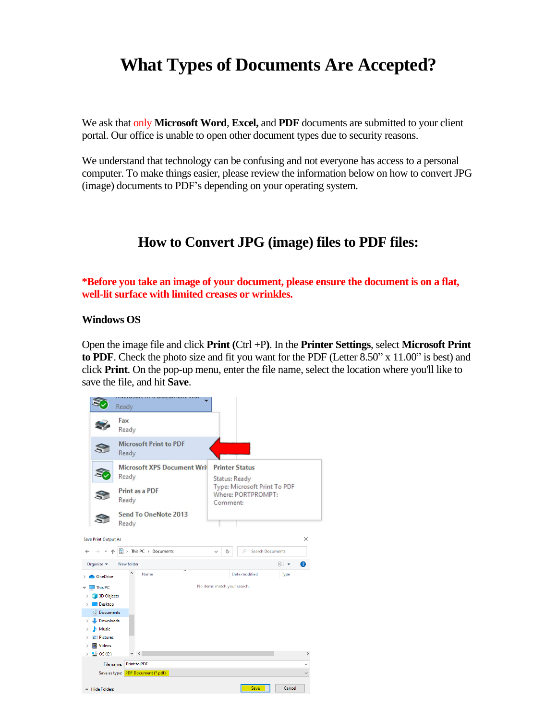## **What Types of Documents Are Accepted?**

We ask that only **Microsoft Word**, **Excel,** and **PDF** documents are submitted to your client portal. Our office is unable to open other document types due to security reasons.

We understand that technology can be confusing and not everyone has access to a personal computer. To make things easier, please review the information below on how to convert JPG (image) documents to PDF's depending on your operating system.

### **How to Convert JPG (image) files to PDF files:**

**\*Before you take an image of your document, please ensure the document is on a flat, well-lit surface with limited creases or wrinkles.** 

#### **Windows OS**

Open the image file and click **Print (**Ctrl +P**)**. In the **Printer Settings**, select **Microsoft Print to PDF**. Check the photo size and fit you want for the PDF (Letter 8.50" x 11.00" is best) and click **Print**. On the pop-up menu, enter the file name, select the location where you'll like to save the file, and hit **Save**.

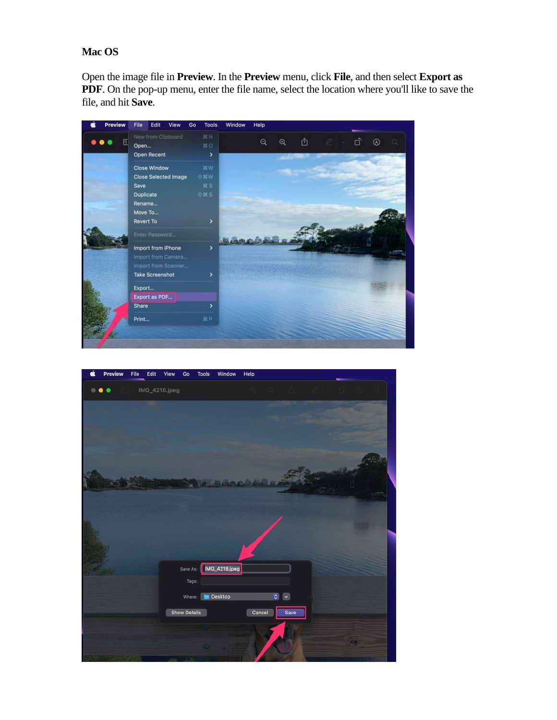#### **Mac OS**

Open the image file in **Preview**. In the **Preview** menu, click **File**, and then select **Export as PDF**. On the pop-up menu, enter the file name, select the location where you'll like to save the file, and hit **Save**.



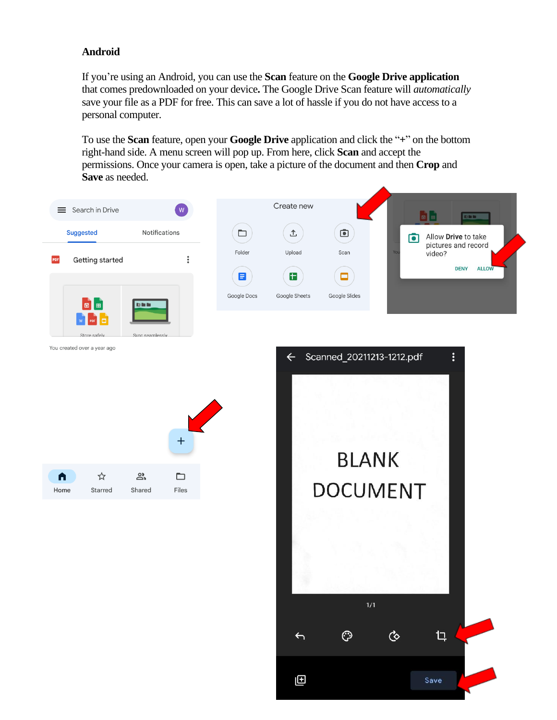#### **Android**

If you're using an Android, you can use the **Scan** feature on the **Google Drive application** that comes predownloaded on your device**.** The Google Drive Scan feature will *automatically* save your file as a PDF for free. This can save a lot of hassle if you do not have access to a personal computer.

To use the **Scan** feature, open your **Google Drive** application and click the "**+**" on the bottom right-hand side. A menu screen will pop up. From here, click **Scan** and accept the permissions. Once your camera is open, take a picture of the document and then **Crop** and **Save** as needed.

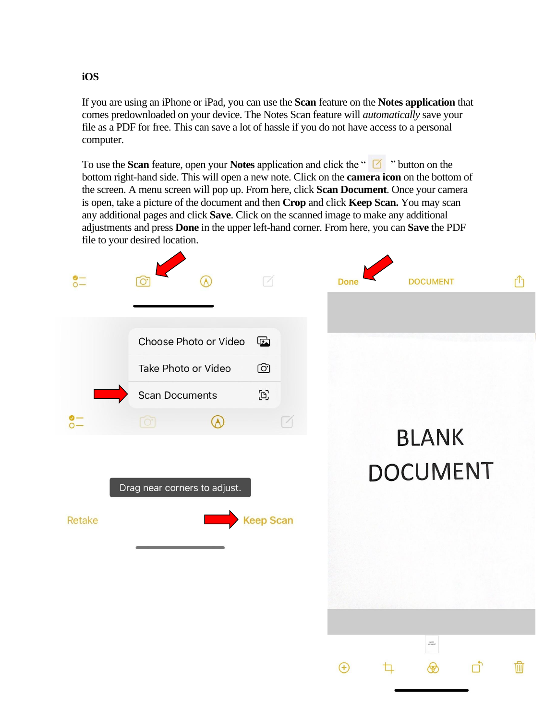### **iOS**

If you are using an iPhone or iPad, you can use the **Scan** feature on the **Notes application** that comes predownloaded on your device. The Notes Scan feature will *automatically* save your file as a PDF for free. This can save a lot of hassle if you do not have access to a personal computer.

To use the **Scan** feature, open your **Notes** application and click the " " button on the bottom right-hand side. This will open a new note. Click on the **camera icon** on the bottom of the screen. A menu screen will pop up. From here, click **Scan Document**. Once your camera is open, take a picture of the document and then **Crop** and click **Keep Scan.** You may scan any additional pages and click **Save**. Click on the scanned image to make any additional adjustments and press **Done** in the upper left-hand corner. From here, you can **Save** the PDF file to your desired location.

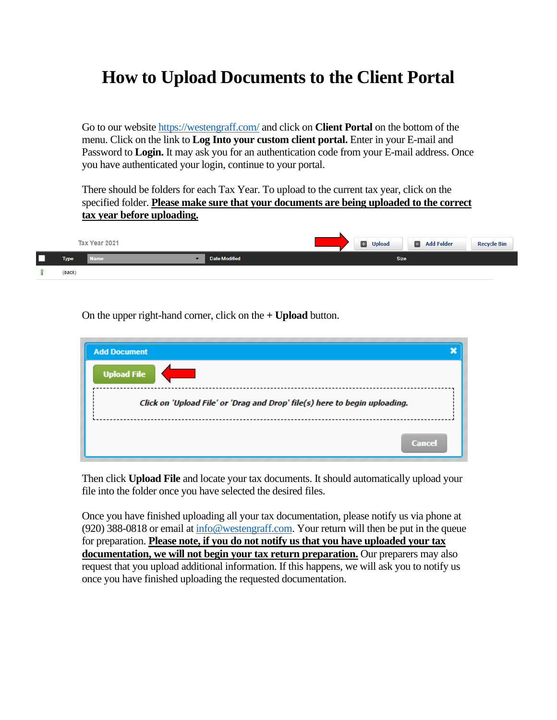# **How to Upload Documents to the Client Portal**

Go to our website<https://westengraff.com/> and click on **Client Portal** on the bottom of the menu. Click on the link to **Log Into your custom client portal.** Enter in your E-mail and Password to **Login.** It may ask you for an authentication code from your E-mail address. Once you have authenticated your login, continue to your portal.

There should be folders for each Tax Year. To upload to the current tax year, click on the specified folder. **Please make sure that your documents are being uploaded to the correct tax year before uploading.** 

|             | Tax Year 2021 |                      |  | <b>D</b> Upload | <b>El</b> Add Folder | <b>Recycle Bin</b> |
|-------------|---------------|----------------------|--|-----------------|----------------------|--------------------|
| <b>Type</b> | <b>Name</b>   | <b>Date Modified</b> |  | <b>Size</b>     |                      |                    |
| (back)      |               |                      |  |                 |                      |                    |

On the upper right-hand corner, click on the **+ Upload** button.

| <b>Add Document</b>                                                        |  |  |  |  |  |  |
|----------------------------------------------------------------------------|--|--|--|--|--|--|
| <b>Upload File</b>                                                         |  |  |  |  |  |  |
| Click on 'Upload File' or 'Drag and Drop' file(s) here to begin uploading. |  |  |  |  |  |  |
| <b>Cancel</b>                                                              |  |  |  |  |  |  |

Then click **Upload File** and locate your tax documents. It should automatically upload your file into the folder once you have selected the desired files.

Once you have finished uploading all your tax documentation, please notify us via phone at (920) 388-0818 or email a[t info@westengraff.com.](mailto:info@westengraff.com) Your return will then be put in the queue for preparation. **Please note, if you do not notify us that you have uploaded your tax documentation, we will not begin your tax return preparation.** Our preparers may also request that you upload additional information. If this happens, we will ask you to notify us once you have finished uploading the requested documentation.